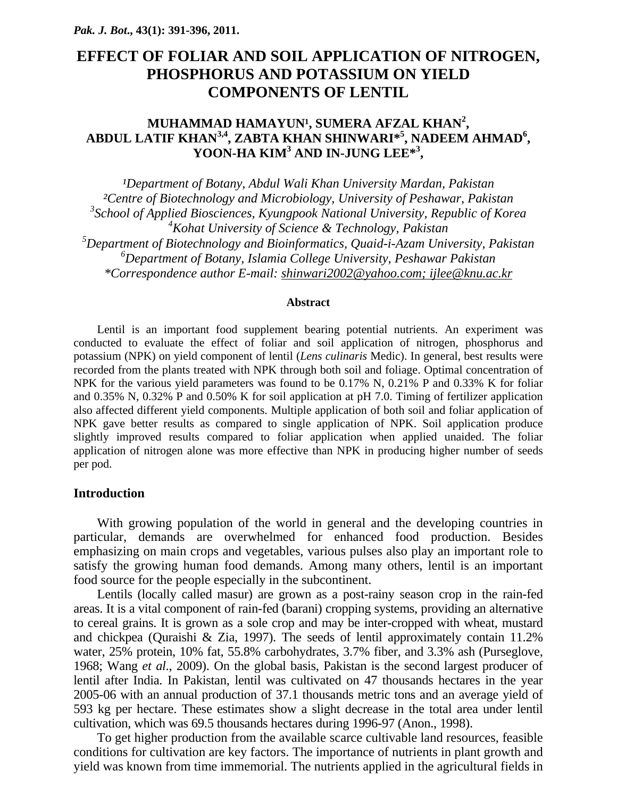# **EFFECT OF FOLIAR AND SOIL APPLICATION OF NITROGEN, PHOSPHORUS AND POTASSIUM ON YIELD COMPONENTS OF LENTIL**

## **MUHAMMAD HAMAYUN<sup>1</sup>, SUMERA AFZAL KHAN<sup>2</sup>, ABDUL LATIF KHAN3,4, ZABTA KHAN SHINWARI\*5 , NADEEM AHMAD<sup>6</sup> , YOON-HA KIM3 AND IN-JUNG LEE\*3 ,**

<sup>1</sup>Department of Botany, Abdul Wali Khan University Mardan, Pakistan *²Centre of Biotechnology and Microbiology, University of Peshawar, Pakistan 3 School of Applied Biosciences, Kyungpook National University, Republic of Korea 4 Kohat University of Science & Technology, Pakistan 5 Department of Biotechnology and Bioinformatics, Quaid-i-Azam University, Pakistan 6 Department of Botany, Islamia College University, Peshawar Pakistan \*Correspondence author E-mail: shinwari2002@yahoo.com; ijlee@knu.ac.kr*

#### **Abstract**

Lentil is an important food supplement bearing potential nutrients. An experiment was conducted to evaluate the effect of foliar and soil application of nitrogen, phosphorus and potassium (NPK) on yield component of lentil (*Lens culinaris* Medic). In general, best results were recorded from the plants treated with NPK through both soil and foliage. Optimal concentration of NPK for the various yield parameters was found to be 0.17% N, 0.21% P and 0.33% K for foliar and 0.35% N, 0.32% P and 0.50% K for soil application at pH 7.0. Timing of fertilizer application also affected different yield components. Multiple application of both soil and foliar application of NPK gave better results as compared to single application of NPK. Soil application produce slightly improved results compared to foliar application when applied unaided. The foliar application of nitrogen alone was more effective than NPK in producing higher number of seeds per pod.

#### **Introduction**

With growing population of the world in general and the developing countries in particular, demands are overwhelmed for enhanced food production. Besides emphasizing on main crops and vegetables, various pulses also play an important role to satisfy the growing human food demands. Among many others, lentil is an important food source for the people especially in the subcontinent.

Lentils (locally called masur) are grown as a post-rainy season crop in the rain-fed areas. It is a vital component of rain-fed (barani) cropping systems, providing an alternative to cereal grains. It is grown as a sole crop and may be inter-cropped with wheat, mustard and chickpea (Quraishi & Zia, 1997). The seeds of lentil approximately contain 11.2% water, 25% protein, 10% fat, 55.8% carbohydrates, 3.7% fiber, and 3.3% ash (Purseglove, 1968; Wang *et al*., 2009). On the global basis, Pakistan is the second largest producer of lentil after India. In Pakistan, lentil was cultivated on 47 thousands hectares in the year 2005-06 with an annual production of 37.1 thousands metric tons and an average yield of 593 kg per hectare. These estimates show a slight decrease in the total area under lentil cultivation, which was 69.5 thousands hectares during 1996-97 (Anon., 1998).

To get higher production from the available scarce cultivable land resources, feasible conditions for cultivation are key factors. The importance of nutrients in plant growth and yield was known from time immemorial. The nutrients applied in the agricultural fields in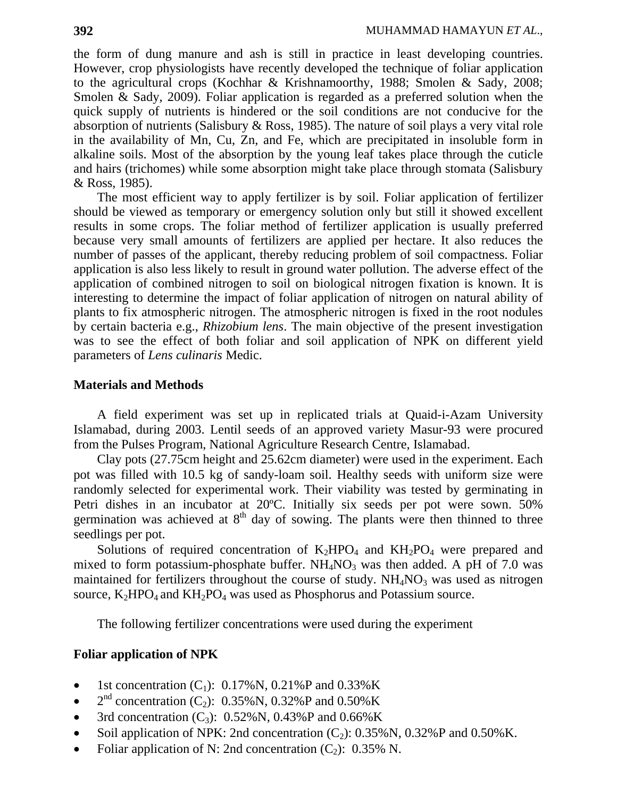the form of dung manure and ash is still in practice in least developing countries. However, crop physiologists have recently developed the technique of foliar application to the agricultural crops (Kochhar & Krishnamoorthy, 1988; Smolen & Sady, 2008; Smolen & Sady, 2009). Foliar application is regarded as a preferred solution when the quick supply of nutrients is hindered or the soil conditions are not conducive for the absorption of nutrients (Salisbury & Ross, 1985). The nature of soil plays a very vital role in the availability of Mn, Cu, Zn, and Fe, which are precipitated in insoluble form in alkaline soils. Most of the absorption by the young leaf takes place through the cuti*c*le and hairs (trichomes) while some absorption might take place through stomata (Salisbury & Ross, 1985).

The most efficient way to apply fertilizer is by soil. Foliar application of fertilizer should be viewed as temporary or emergency solution only but still it showed excellent results in some crops. The foliar method of fertilizer application is usually preferred because very small amounts of fertilizers are applied per hectare. It also reduces the number of passes of the applicant, thereby reducing problem of soil compactness. Foliar application is also less likely to result in ground water pollution. The adverse effect of the application of combined nitrogen to soil on biological nitrogen fixation is known. It is interesting to determine the impact of foliar application of nitrogen on natural ability of plants to fix atmospheric nitrogen. The atmospheric nitrogen is fixed in the root nodules by certain bacteria e.g., *Rhizobium lens*. The main objective of the present investigation was to see the effect of both foliar and soil application of NPK on different yield parameters of *Lens culinaris* Medic.

#### **Materials and Methods**

A field experiment was set up in replicated trials at Quaid-i-Azam University Islamabad, during 2003. Lentil seeds of an approved variety Masur-93 were procured from the Pulses Program, National Agriculture Research Centre, Islamabad.

Clay pots (27.75cm height and 25.62cm diameter) were used in the experiment. Each pot was filled with 10.5 kg of sandy-loam soil. Healthy seeds with uniform size were randomly selected for experimental work. Their viability was tested by germinating in Petri dishes in an incubator at 20ºC. Initially six seeds per pot were sown. 50% germination was achieved at  $8<sup>th</sup>$  day of sowing. The plants were then thinned to three seedlings per pot.

Solutions of required concentration of  $K_2HPO_4$  and  $KH_2PO_4$  were prepared and mixed to form potassium-phosphate buffer.  $NH_4NO_3$  was then added. A pH of 7.0 was maintained for fertilizers throughout the course of study.  $NH<sub>4</sub>NO<sub>3</sub>$  was used as nitrogen source,  $K_2HPO_4$  and  $KH_2PO_4$  was used as Phosphorus and Potassium source.

The following fertilizer concentrations were used during the experiment

### **Foliar application of NPK**

- 1st concentration  $(C_1)$ : 0.17%N, 0.21%P and 0.33%K
- $2^{nd}$  concentration (C<sub>2</sub>): 0.35%N, 0.32%P and 0.50%K
- 3rd concentration  $(C_3)$ : 0.52%N, 0.43%P and 0.66%K
- Soil application of NPK: 2nd concentration  $(C_2)$ : 0.35% N, 0.32% P and 0.50% K.
- Foliar application of N: 2nd concentration  $(C_2)$ : 0.35% N.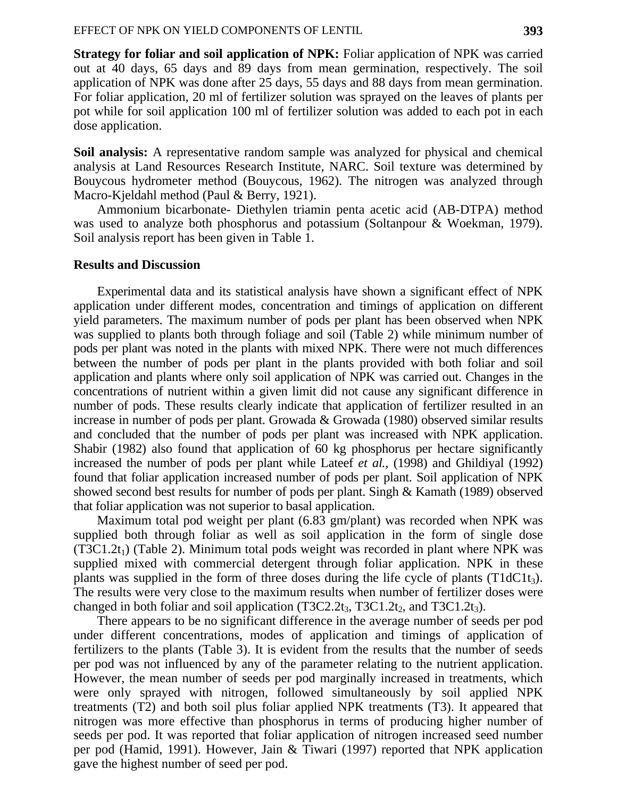**Strategy for foliar and soil application of NPK:** Foliar application of NPK was carried out at 40 days, 65 days and 89 days from mean germination, respectively. The soil application of NPK was done after 25 days, 55 days and 88 days from mean germination. For foliar application, 20 ml of fertilizer solution was sprayed on the leaves of plants per pot while for soil application 100 ml of fertilizer solution was added to each pot in each dose application.

**Soil analysis:** A representative random sample was analyzed for physical and chemical analysis at Land Resources Research Institute, NARC. Soil texture was determined by Bouycous hydrometer method (Bouycous, 1962). The nitrogen was analyzed through Macro-Kjeldahl method (Paul & Berry, 1921).

Ammonium bicarbonate- Diethylen triamin penta acetic acid (AB-DTPA) method was used to analyze both phosphorus and potassium (Soltanpour & Woekman, 1979). Soil analysis report has been given in Table 1.

#### **Results and Discussion**

Experimental data and its statistical analysis have shown a significant effect of NPK application under different modes, concentration and timings of application on different yield parameters. The maximum number of pods per plant has been observed when NPK was supplied to plants both through foliage and soil (Table 2) while minimum number of pods per plant was noted in the plants with mixed NPK. There were not much differences between the number of pods per plant in the plants provided with both foliar and soil application and plants where only soil application of NPK was carried out. Changes in the concentrations of nutrient within a given limit did not cause any significant difference in number of pods. These results clearly indicate that application of fertilizer resulted in an increase in number of pods per plant. Growada  $\&$  Growada (1980) observed similar results and concluded that the number of pods per plant was increased with NPK application. Shabir (1982) also found that application of 60 kg phosphorus per hectare significantly increased the number of pods per plant while Lateef *et al.,* (1998) and Ghildiyal (1992) found that foliar application increased number of pods per plant. Soil application of NPK showed second best results for number of pods per plant. Singh & Kamath (1989) observed that foliar application was not superior to basal application.

Maximum total pod weight per plant (6.83 gm/plant) was recorded when NPK was supplied both through foliar as well as soil application in the form of single dose  $(T3C1.2t_1)$  (Table 2). Minimum total pods weight was recorded in plant where NPK was supplied mixed with commercial detergent through foliar application. NPK in these plants was supplied in the form of three doses during the life cycle of plants ( $T1dClt<sub>3</sub>$ ). The results were very close to the maximum results when number of fertilizer doses were changed in both foliar and soil application  $(T3C2.2t_3, T3C1.2t_2,$  and  $T3C1.2t_3$ ).

There appears to be no significant difference in the average number of seeds per pod under different concentrations, modes of application and timings of application of fertilizers to the plants (Table 3). It is evident from the results that the number of seeds per pod was not influenced by any of the parameter relating to the nutrient application. However, the mean number of seeds per pod marginally increased in treatments, which were only sprayed with nitrogen, followed simultaneously by soil applied NPK treatments (T2) and both soil plus foliar applied NPK treatments (T3). It appeared that nitrogen was more effective than phosphorus in terms of producing higher number of seeds per pod. It was reported that foliar application of nitrogen increased seed number per pod (Hamid, 1991). However, Jain & Tiwari (1997) reported that NPK application gave the highest number of seed per pod.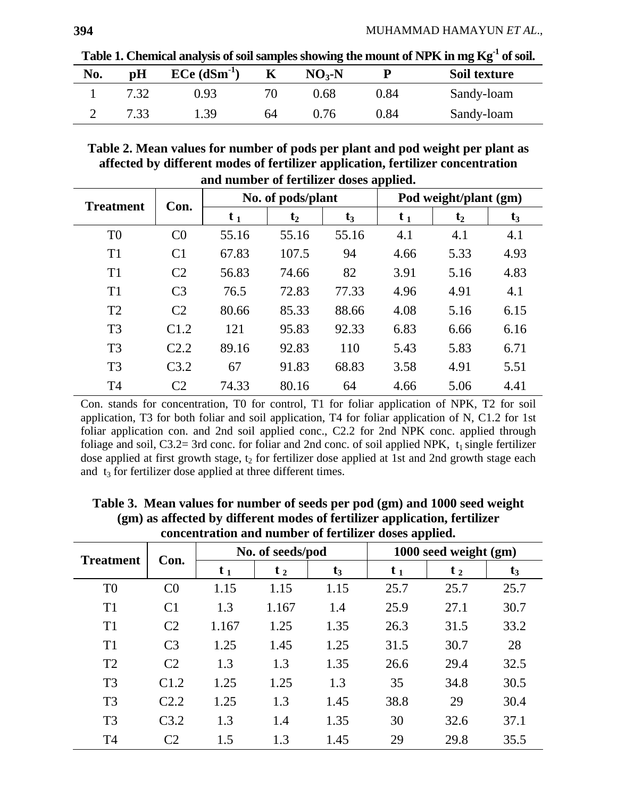Table 1. Chemical analysis of soil samples showing the mount of NPK in mg Kg<sup>-1</sup> of soil.

| No. | pH   | $ECe$ (dSm <sup>-1</sup> ) |    | $NO3-N$ | р          | Soil texture |
|-----|------|----------------------------|----|---------|------------|--------------|
|     |      | 0.93                       |    | 0.68    | 0.84       | Sandy-loam   |
|     | 7.33 | . .39                      | 64 | 0.76    | $\rm 0.84$ | Sandy-loam   |

**Table 2. Mean values for number of pods per plant and pod weight per plant as affected by different modes of fertilizer application, fertilizer concentration and number of fertilizer doses applied.** 

| 7 T              |                  |                   |                |       |                       |         |       |
|------------------|------------------|-------------------|----------------|-------|-----------------------|---------|-------|
| <b>Treatment</b> | Con.             | No. of pods/plant |                |       | Pod weight/plant (gm) |         |       |
|                  |                  | $t_{1}$           | t <sub>2</sub> | $t_3$ | $t_{1}$               | $t_{2}$ | $t_3$ |
| T <sub>0</sub>   | C <sub>0</sub>   | 55.16             | 55.16          | 55.16 | 4.1                   | 4.1     | 4.1   |
| T1               | C <sub>1</sub>   | 67.83             | 107.5          | 94    | 4.66                  | 5.33    | 4.93  |
| T1               | C <sub>2</sub>   | 56.83             | 74.66          | 82    | 3.91                  | 5.16    | 4.83  |
| T1               | C <sub>3</sub>   | 76.5              | 72.83          | 77.33 | 4.96                  | 4.91    | 4.1   |
| T <sub>2</sub>   | C <sub>2</sub>   | 80.66             | 85.33          | 88.66 | 4.08                  | 5.16    | 6.15  |
| T <sub>3</sub>   | C1.2             | 121               | 95.83          | 92.33 | 6.83                  | 6.66    | 6.16  |
| T <sub>3</sub>   | C <sub>2.2</sub> | 89.16             | 92.83          | 110   | 5.43                  | 5.83    | 6.71  |
| T <sub>3</sub>   | C3.2             | 67                | 91.83          | 68.83 | 3.58                  | 4.91    | 5.51  |
| T <sub>4</sub>   | C <sub>2</sub>   | 74.33             | 80.16          | 64    | 4.66                  | 5.06    | 4.41  |

Con. stands for concentration, T0 for control, T1 for foliar application of NPK, T2 for soil application, T3 for both foliar and soil application, T4 for foliar application of N, C1.2 for 1st foliar application con. and 2nd soil applied conc., C2.2 for 2nd NPK conc. applied through foliage and soil, C3.2= 3rd conc. for foliar and 2nd conc. of soil applied NPK,  $t_1$  single fertilizer dose applied at first growth stage,  $t_2$  for fertilizer dose applied at 1st and 2nd growth stage each and  $t_3$  for fertilizer dose applied at three different times.

|                  |                  |                  |         |       | . .                   |         |       |
|------------------|------------------|------------------|---------|-------|-----------------------|---------|-------|
| <b>Treatment</b> | Con.             | No. of seeds/pod |         |       | 1000 seed weight (gm) |         |       |
|                  |                  | $t_{1}$          | $t_{2}$ | $t_3$ | t <sub>1</sub>        | $t_{2}$ | $t_3$ |
| T <sub>0</sub>   | C <sub>0</sub>   | 1.15             | 1.15    | 1.15  | 25.7                  | 25.7    | 25.7  |
| T1               | C <sub>1</sub>   | 1.3              | 1.167   | 1.4   | 25.9                  | 27.1    | 30.7  |
| T1               | C <sub>2</sub>   | 1.167            | 1.25    | 1.35  | 26.3                  | 31.5    | 33.2  |
| T1               | C <sub>3</sub>   | 1.25             | 1.45    | 1.25  | 31.5                  | 30.7    | 28    |
| T <sub>2</sub>   | C <sub>2</sub>   | 1.3              | 1.3     | 1.35  | 26.6                  | 29.4    | 32.5  |
| T <sub>3</sub>   | C1.2             | 1.25             | 1.25    | 1.3   | 35                    | 34.8    | 30.5  |
| T <sub>3</sub>   | C <sub>2.2</sub> | 1.25             | 1.3     | 1.45  | 38.8                  | 29      | 30.4  |
| T <sub>3</sub>   | C3.2             | 1.3              | 1.4     | 1.35  | 30                    | 32.6    | 37.1  |
| T <sub>4</sub>   | C2               | 1.5              | 1.3     | 1.45  | 29                    | 29.8    | 35.5  |

**Table 3. Mean values for number of seeds per pod (gm) and 1000 seed weight (gm) as affected by different modes of fertilizer application, fertilizer concentration and number of fertilizer doses applied.**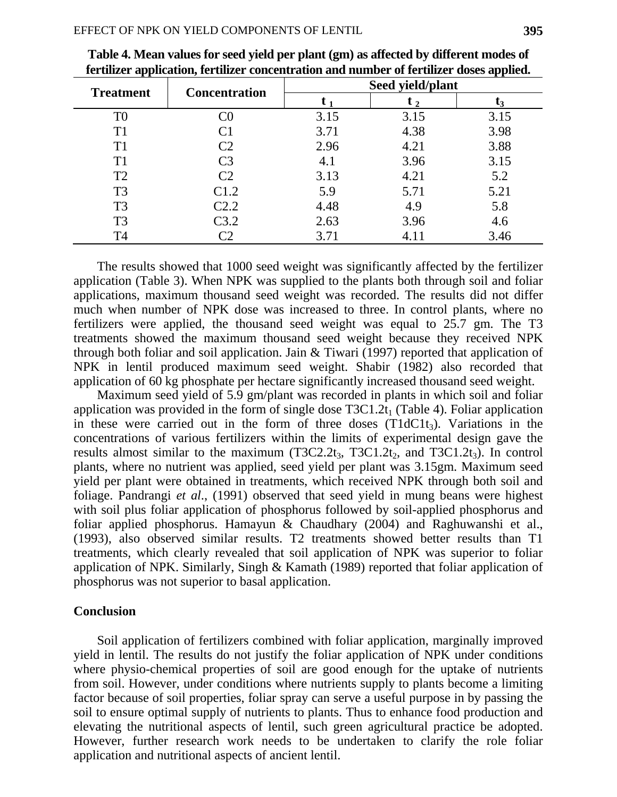| <b>Treatment</b> | <b>Concentration</b> | Seed yield/plant |      |      |  |
|------------------|----------------------|------------------|------|------|--|
|                  |                      |                  |      | L3   |  |
| T <sub>0</sub>   | ි0                   | 3.15             | 3.15 | 3.15 |  |
| T1               | C <sub>1</sub>       | 3.71             | 4.38 | 3.98 |  |
| T <sub>1</sub>   | C <sub>2</sub>       | 2.96             | 4.21 | 3.88 |  |
| T1               | C <sub>3</sub>       | 4.1              | 3.96 | 3.15 |  |
| T <sub>2</sub>   | C <sub>2</sub>       | 3.13             | 4.21 | 5.2  |  |
| T <sub>3</sub>   | C1.2                 | 5.9              | 5.71 | 5.21 |  |
| T <sub>3</sub>   | C2.2                 | 4.48             | 4.9  | 5.8  |  |
| T <sub>3</sub>   | C3.2                 | 2.63             | 3.96 | 4.6  |  |
| T <sub>4</sub>   | رس                   | 3.71             | 4.11 | 3.46 |  |

| Table 4. Mean values for seed yield per plant (gm) as affected by different modes of     |
|------------------------------------------------------------------------------------------|
| fertilizer application, fertilizer concentration and number of fertilizer doses applied. |

The results showed that 1000 seed weight was significantly affected by the fertilizer application (Table 3). When NPK was supplied to the plants both through soil and foliar applications, maximum thousand seed weight was recorded. The results did not differ much when number of NPK dose was increased to three. In control plants, where no fertilizers were applied, the thousand seed weight was equal to 25.7 gm. The T3 treatments showed the maximum thousand seed weight because they received NPK through both foliar and soil application. Jain & Tiwari (1997) reported that application of NPK in lentil produced maximum seed weight. Shabir (1982) also recorded that application of 60 kg phosphate per hectare significantly increased thousand seed weight.

Maximum seed yield of 5.9 gm/plant was recorded in plants in which soil and foliar application was provided in the form of single dose  $T3C1.2t_1$  (Table 4). Foliar application in these were carried out in the form of three doses  $(T1dC1t<sub>3</sub>)$ . Variations in the concentrations of various fertilizers within the limits of experimental design gave the results almost similar to the maximum  $(T3C2.2t_3, T3C1.2t_2,$  and  $T3C1.2t_3)$ . In control plants, where no nutrient was applied, seed yield per plant was 3.15gm. Maximum seed yield per plant were obtained in treatments, which received NPK through both soil and foliage. Pandrangi *et al*., (1991) observed that seed yield in mung beans were highest with soil plus foliar application of phosphorus followed by soil-applied phosphorus and foliar applied phosphorus. Hamayun & Chaudhary (2004) and Raghuwanshi et al., (1993), also observed similar results. T2 treatments showed better results than T1 treatments, which clearly revealed that soil application of NPK was superior to foliar application of NPK. Similarly, Singh & Kamath (1989) reported that foliar application of phosphorus was not superior to basal application.

#### **Conclusion**

Soil application of fertilizers combined with foliar application, marginally improved yield in lentil. The results do not justify the foliar application of NPK under conditions where physio-chemical properties of soil are good enough for the uptake of nutrients from soil. However, under conditions where nutrients supply to plants become a limiting factor because of soil properties, foliar spray can serve a useful purpose in by passing the soil to ensure optimal supply of nutrients to plants. Thus to enhance food production and elevating the nutritional aspects of lentil, such green agricultural practice be adopted. However, further research work needs to be undertaken to clarify the role foliar application and nutritional aspects of ancient lentil.